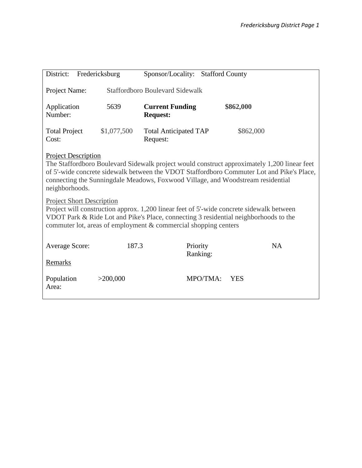| District:<br>Fredericksburg                                                                                                                                                                                                                                                                                                 |             | Sponsor/Locality: Stafford County         |          |            |  |  |  |
|-----------------------------------------------------------------------------------------------------------------------------------------------------------------------------------------------------------------------------------------------------------------------------------------------------------------------------|-------------|-------------------------------------------|----------|------------|--|--|--|
| Project Name:                                                                                                                                                                                                                                                                                                               |             | <b>Staffordboro Boulevard Sidewalk</b>    |          |            |  |  |  |
| Application<br>Number:                                                                                                                                                                                                                                                                                                      | 5639        | <b>Current Funding</b><br><b>Request:</b> |          | \$862,000  |  |  |  |
| <b>Total Project</b><br>Cost:                                                                                                                                                                                                                                                                                               | \$1,077,500 | <b>Total Anticipated TAP</b><br>Request:  |          | \$862,000  |  |  |  |
| <b>Project Description</b><br>The Staffordboro Boulevard Sidewalk project would construct approximately 1,200 linear feet<br>of 5'-wide concrete sidewalk between the VDOT Staffordboro Commuter Lot and Pike's Place,<br>connecting the Sunningdale Meadows, Foxwood Village, and Woodstream residential<br>neighborhoods. |             |                                           |          |            |  |  |  |
| <b>Project Short Description</b><br>Project will construction approx. 1,200 linear feet of 5'-wide concrete sidewalk between<br>VDOT Park & Ride Lot and Pike's Place, connecting 3 residential neighborhoods to the<br>commuter lot, areas of employment & commercial shopping centers                                     |             |                                           |          |            |  |  |  |
| <b>Average Score:</b>                                                                                                                                                                                                                                                                                                       | 187.3       | Priority                                  | Ranking: | NA         |  |  |  |
| Remarks                                                                                                                                                                                                                                                                                                                     |             |                                           |          |            |  |  |  |
| Population<br>Area:                                                                                                                                                                                                                                                                                                         | >200,000    |                                           | MPO/TMA: | <b>YES</b> |  |  |  |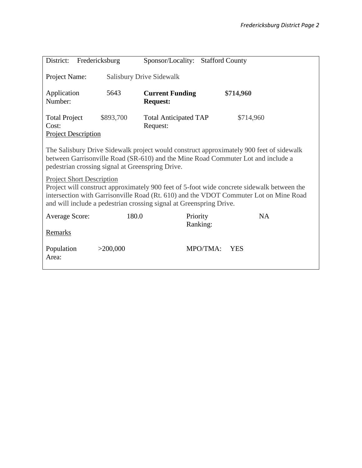| District:<br>Fredericksburg                                                                                                                                                         |           | Sponsor/Locality:<br><b>Stafford County</b> |          |                                                                                         |  |  |  |
|-------------------------------------------------------------------------------------------------------------------------------------------------------------------------------------|-----------|---------------------------------------------|----------|-----------------------------------------------------------------------------------------|--|--|--|
|                                                                                                                                                                                     |           |                                             |          |                                                                                         |  |  |  |
| Project Name:<br><b>Salisbury Drive Sidewalk</b>                                                                                                                                    |           |                                             |          |                                                                                         |  |  |  |
|                                                                                                                                                                                     |           |                                             |          |                                                                                         |  |  |  |
| Application                                                                                                                                                                         | 5643      | <b>Current Funding</b>                      |          | \$714,960                                                                               |  |  |  |
| Number:                                                                                                                                                                             |           | <b>Request:</b>                             |          |                                                                                         |  |  |  |
| <b>Total Project</b>                                                                                                                                                                | \$893,700 | <b>Total Anticipated TAP</b>                |          | \$714,960                                                                               |  |  |  |
| Cost:                                                                                                                                                                               |           | Request:                                    |          |                                                                                         |  |  |  |
| <b>Project Description</b>                                                                                                                                                          |           |                                             |          |                                                                                         |  |  |  |
|                                                                                                                                                                                     |           |                                             |          |                                                                                         |  |  |  |
|                                                                                                                                                                                     |           |                                             |          | The Salisbury Drive Sidewalk project would construct approximately 900 feet of sidewalk |  |  |  |
| between Garrisonville Road (SR-610) and the Mine Road Commuter Lot and include a<br>pedestrian crossing signal at Greenspring Drive.                                                |           |                                             |          |                                                                                         |  |  |  |
|                                                                                                                                                                                     |           |                                             |          |                                                                                         |  |  |  |
| <b>Project Short Description</b>                                                                                                                                                    |           |                                             |          |                                                                                         |  |  |  |
| Project will construct approximately 900 feet of 5-foot wide concrete sidewalk between the<br>intersection with Garrisonville Road (Rt. 610) and the VDOT Commuter Lot on Mine Road |           |                                             |          |                                                                                         |  |  |  |
| and will include a pedestrian crossing signal at Greenspring Drive.                                                                                                                 |           |                                             |          |                                                                                         |  |  |  |
| <b>Average Score:</b>                                                                                                                                                               | 180.0     | Priority                                    |          | <b>NA</b>                                                                               |  |  |  |
|                                                                                                                                                                                     |           |                                             | Ranking: |                                                                                         |  |  |  |
| <b>Remarks</b>                                                                                                                                                                      |           |                                             |          |                                                                                         |  |  |  |
|                                                                                                                                                                                     |           |                                             |          |                                                                                         |  |  |  |
| Population                                                                                                                                                                          | >200,000  |                                             | MPO/TMA: | <b>YES</b>                                                                              |  |  |  |
| Area:                                                                                                                                                                               |           |                                             |          |                                                                                         |  |  |  |
|                                                                                                                                                                                     |           |                                             |          |                                                                                         |  |  |  |